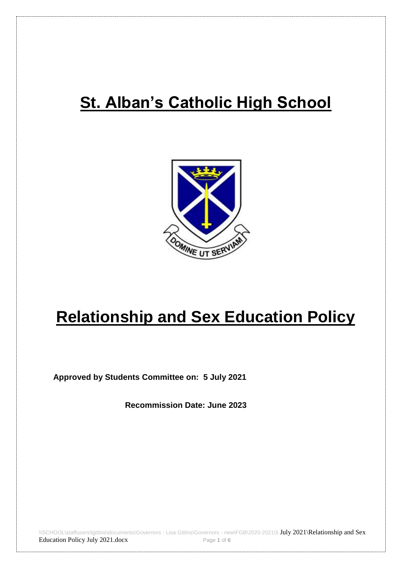## **St. Alban's Catholic High School**



# **Relationship and Sex Education Policy**

**Approved by Students Committee on: 5 July 2021**

**Recommission Date: June 2023**

\\SCHOOL\staffusers\lgittins\documents\Governors - Lisa Gittins\Governors - new\FGB\2020-2021\5 July 2021\Relationship and Sex Education Policy July 2021.docx Page **1** of **6**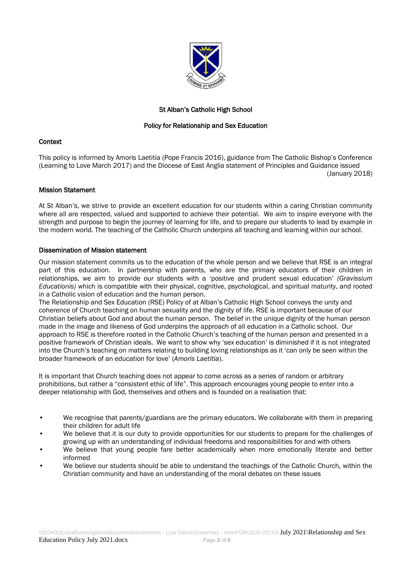

## St Alban's Catholic High School

## Policy for Relationship and Sex Education

#### **Context**

This policy is informed by Amoris Laetitia (Pope Francis 2016), guidance from The Catholic Bishop's Conference (Learning to Love March 2017) and the Diocese of East Anglia statement of Principles and Guidance issued (January 2018)

## Mission Statement

At St Alban's, we strive to provide an excellent education for our students within a caring Christian community where all are respected, valued and supported to achieve their potential. We aim to inspire everyone with the strength and purpose to begin the journey of learning for life, and to prepare our students to lead by example in the modern world. The teaching of the Catholic Church underpins all teaching and learning within our school.

## Dissemination of Mission statement

Our mission statement commits us to the education of the whole person and we believe that RSE is an integral part of this education. In partnership with parents, who are the primary educators of their children in relationships, we aim to provide our students with a 'positive and prudent sexual education' *(Gravissium Educationis)* which is compatible with their physical, cognitive, psychological, and spiritual maturity, and rooted in a Catholic vision of education and the human person.

The Relationship and Sex Education (RSE) Policy of at Alban's Catholic High School conveys the unity and coherence of Church teaching on human sexuality and the dignity of life. RSE is important because of our Christian beliefs about God and about the human person. The belief in the unique dignity of the human person made in the image and likeness of God underpins the approach of all education in a Catholic school. Our approach to RSE is therefore rooted in the Catholic Church's teaching of the human person and presented in a positive framework of Christian ideals. We want to show why 'sex education' is diminished if it is not integrated into the Church's teaching on matters relating to building loving relationships as it 'can only be seen within the broader framework of an education for love' (*Amoris Laetitia*).

It is important that Church teaching does not appear to come across as a series of random or arbitrary prohibitions, but rather a "consistent ethic of life". This approach encourages young people to enter into a deeper relationship with God, themselves and others and is founded on a realisation that:

- We recognise that parents/guardians are the primary educators. We collaborate with them in preparing their children for adult life
- We believe that it is our duty to provide opportunities for our students to prepare for the challenges of growing up with an understanding of individual freedoms and responsibilities for and with others
- We believe that young people fare better academically when more emotionally literate and better informed
- We believe our students should be able to understand the teachings of the Catholic Church, within the Christian community and have an understanding of the moral debates on these issues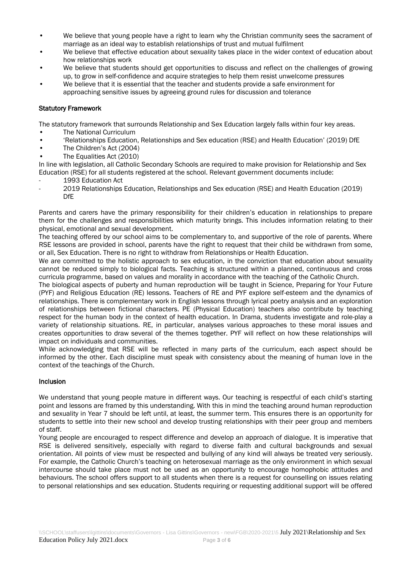- We believe that young people have a right to learn why the Christian community sees the sacrament of marriage as an ideal way to establish relationships of trust and mutual fulfilment
- We believe that effective education about sexuality takes place in the wider context of education about how relationships work
- We believe that students should get opportunities to discuss and reflect on the challenges of growing up, to grow in self-confidence and acquire strategies to help them resist unwelcome pressures
- We believe that it is essential that the teacher and students provide a safe environment for approaching sensitive issues by agreeing ground rules for discussion and tolerance

#### Statutory Framework

The statutory framework that surrounds Relationship and Sex Education largely falls within four key areas.

- The National Curriculum
- 'Relationships Education, Relationships and Sex education (RSE) and Health Education' (2019) DfE
- The Children's Act (2004)
- The Equalities Act (2010)

In line with legislation, all Catholic Secondary Schools are required to make provision for Relationship and Sex Education (RSE) for all students registered at the school. Relevant government documents include:

- 1993 Education Act
- 2019 Relationships Education, Relationships and Sex education (RSE) and Health Education (2019) DfE

Parents and carers have the primary responsibility for their children's education in relationships to prepare them for the challenges and responsibilities which maturity brings. This includes information relating to their physical, emotional and sexual development.

The teaching offered by our school aims to be complementary to, and supportive of the role of parents. Where RSE lessons are provided in school, parents have the right to request that their child be withdrawn from some, or all, Sex Education. There is no right to withdraw from Relationships or Health Education.

We are committed to the holistic approach to sex education, in the conviction that education about sexuality cannot be reduced simply to biological facts. Teaching is structured within a planned, continuous and cross curricula programme, based on values and morality in accordance with the teaching of the Catholic Church.

The biological aspects of puberty and human reproduction will be taught in Science, Preparing for Your Future (PYF) and Religious Education (RE) lessons. Teachers of RE and PYF explore self-esteem and the dynamics of relationships. There is complementary work in English lessons through lyrical poetry analysis and an exploration of relationships between fictional characters. PE (Physical Education) teachers also contribute by teaching respect for the human body in the context of health education. In Drama, students investigate and role-play a variety of relationship situations. RE, in particular, analyses various approaches to these moral issues and creates opportunities to draw several of the themes together. PYF will reflect on how these relationships will impact on individuals and communities.

While acknowledging that RSE will be reflected in many parts of the curriculum, each aspect should be informed by the other. Each discipline must speak with consistency about the meaning of human love in the context of the teachings of the Church.

#### Inclusion

We understand that young people mature in different ways. Our teaching is respectful of each child's starting point and lessons are framed by this understanding. With this in mind the teaching around human reproduction and sexuality in Year 7 should be left until, at least, the summer term. This ensures there is an opportunity for students to settle into their new school and develop trusting relationships with their peer group and members of staff.

Young people are encouraged to respect difference and develop an approach of dialogue. It is imperative that RSE is delivered sensitively, especially with regard to diverse faith and cultural backgrounds and sexual orientation. All points of view must be respected and bullying of any kind will always be treated very seriously. For example, the Catholic Church's teaching on heterosexual marriage as the only environment in which sexual intercourse should take place must not be used as an opportunity to encourage homophobic attitudes and behaviours. The school offers support to all students when there is a request for counselling on issues relating to personal relationships and sex education. Students requiring or requesting additional support will be offered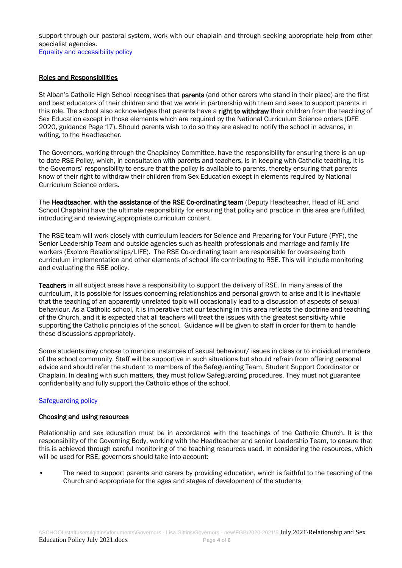support through our pastoral system, work with our chaplain and through seeking appropriate help from other specialist agencies.

[Equality and accessibility policy](https://stalbansrcschool-my.sharepoint.com/personal/scorless_st-albans_suffolk_sch_uk/Documents/SLT_20-21/RSE_Policy/Equal%20Opportunities%20and%20Accessibility%20Policy.pdf)

## Roles and Responsibilities

St Alban's Catholic High School recognises that **parents** (and other carers who stand in their place) are the first and best educators of their children and that we work in partnership with them and seek to support parents in this role. The school also acknowledges that parents have a right to withdraw their children from the teaching of Sex Education except in those elements which are required by the National Curriculum Science orders (DFE 2020, guidance Page 17). Should parents wish to do so they are asked to notify the school in advance, in writing, to the Headteacher.

The Governors, working through the Chaplaincy Committee, have the responsibility for ensuring there is an upto-date RSE Policy, which, in consultation with parents and teachers, is in keeping with Catholic teaching. It is the Governors' responsibility to ensure that the policy is available to parents, thereby ensuring that parents know of their right to withdraw their children from Sex Education except in elements required by National Curriculum Science orders.

The Headteacher, with the assistance of the RSE Co-ordinating team (Deputy Headteacher, Head of RE and School Chaplain) have the ultimate responsibility for ensuring that policy and practice in this area are fulfilled, introducing and reviewing appropriate curriculum content.

The RSE team will work closely with curriculum leaders for Science and Preparing for Your Future (PYF), the Senior Leadership Team and outside agencies such as health professionals and marriage and family life workers (Explore Relationships/LIFE). The RSE Co-ordinating team are responsible for overseeing both curriculum implementation and other elements of school life contributing to RSE. This will include monitoring and evaluating the RSE policy.

Teachers in all subject areas have a responsibility to support the delivery of RSE. In many areas of the curriculum, it is possible for issues concerning relationships and personal growth to arise and it is inevitable that the teaching of an apparently unrelated topic will occasionally lead to a discussion of aspects of sexual behaviour. As a Catholic school, it is imperative that our teaching in this area reflects the doctrine and teaching of the Church, and it is expected that all teachers will treat the issues with the greatest sensitivity while supporting the Catholic principles of the school. Guidance will be given to staff in order for them to handle these discussions appropriately.

Some students may choose to mention instances of sexual behaviour/ issues in class or to individual members of the school community. Staff will be supportive in such situations but should refrain from offering personal advice and should refer the student to members of the Safeguarding Team, Student Support Coordinator or Chaplain. In dealing with such matters, they must follow Safeguarding procedures. They must not guarantee confidentiality and fully support the Catholic ethos of the school.

#### [Safeguarding policy](https://stalbansrcschool-my.sharepoint.com/personal/scorless_st-albans_suffolk_sch_uk/Documents/SLT_20-21/RSE_Policy/Safeguarding%20Policy%20-%20September%202020.pdf)

## Choosing and using resources

Relationship and sex education must be in accordance with the teachings of the Catholic Church. It is the responsibility of the Governing Body, working with the Headteacher and senior Leadership Team, to ensure that this is achieved through careful monitoring of the teaching resources used. In considering the resources, which will be used for RSE, governors should take into account:

• The need to support parents and carers by providing education, which is faithful to the teaching of the Church and appropriate for the ages and stages of development of the students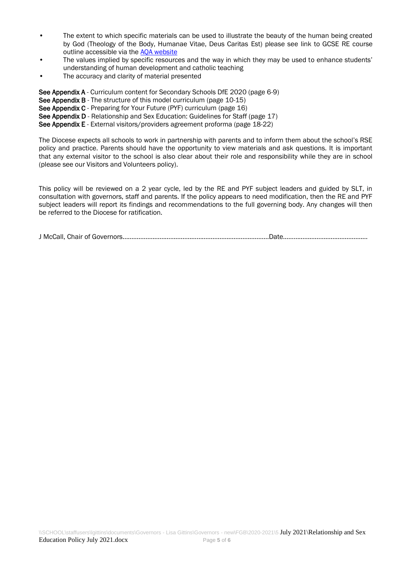- The extent to which specific materials can be used to illustrate the beauty of the human being created by God (Theology of the Body, Humanae Vitae, Deus Caritas Est) please see link to GCSE RE course outline accessible via the [AQA website](https://www.aqa.org.uk/subjects/religious-studies/gcse/religious-studies-b-8063)
- The values implied by specific resources and the way in which they may be used to enhance students' understanding of human development and catholic teaching
- The accuracy and clarity of material presented

See Appendix A - Curriculum content for Secondary Schools DfE 2020 (page 6-9)

- See Appendix B The structure of this model curriculum (page 10-15)
- See Appendix C Preparing for Your Future (PYF) curriculum (page 16)

See Appendix D - Relationship and Sex Education: Guidelines for Staff (page 17)

See Appendix E - External visitors/providers agreement proforma (page 18-22)

The Diocese expects all schools to work in partnership with parents and to inform them about the school's RSE policy and practice. Parents should have the opportunity to view materials and ask questions. It is important that any external visitor to the school is also clear about their role and responsibility while they are in school (please see our Visitors and Volunteers policy).

This policy will be reviewed on a 2 year cycle, led by the RE and PYF subject leaders and guided by SLT, in consultation with governors, staff and parents. If the policy appears to need modification, then the RE and PYF subject leaders will report its findings and recommendations to the full governing body. Any changes will then be referred to the Diocese for ratification.

J McCall, Chair of Governors………………………………………………………………………..Date…………………………………………